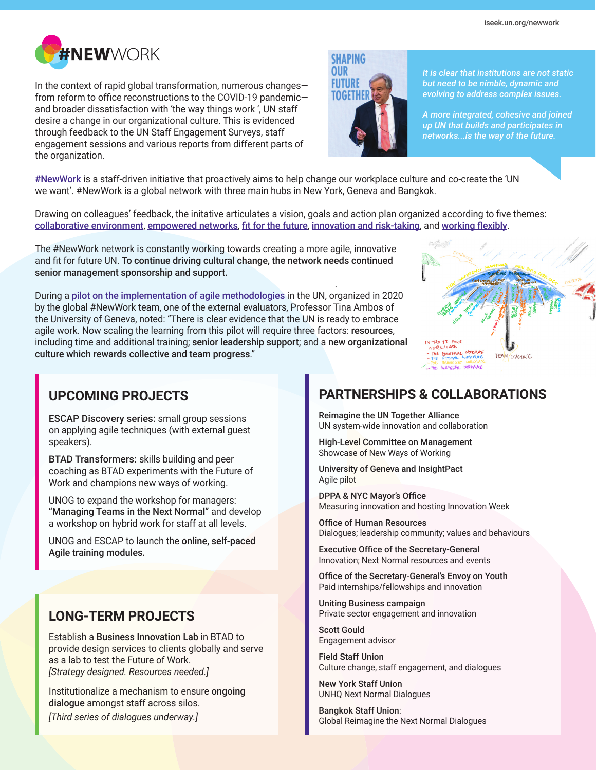

In the context of rapid global transformation, numerous changes from reform to office reconstructions to the COVID-19 pandemic and broader dissatisfaction with 'the way things work ', UN staff desire a change in our organizational culture. This is evidenced through feedback to the UN Staff Engagement Surveys, staff engagement sessions and various reports from different parts of the organization.



*It is clear that institutions are not static but need to be nimble, dynamic and evolving to address complex issues.*

*A more integrated, cohesive and joined up UN that builds and participates in networks...is the way of the future.*

[#NewWork](https://unitednations.sharepoint.com/sites/NewWork/) is a staff-driven initiative that proactively aims to help change our workplace culture and co-create the 'UN we want'. #NewWork is a global network with three main hubs in New York, Geneva and Bangkok.

Drawing on colleagues' feedback, the initative articulates a vision, goals and action plan organized according to five themes: [collaborative environment](https://unitednations.sharepoint.com/sites/NewWork/SitePages/Collaborative-Environment.aspx), [empowered networks](https://unitednations.sharepoint.com/sites/NewWork/SitePages/Empowered-Networks.aspx), [fit for the future](https://unitednations.sharepoint.com/sites/NewWork/SitePages/Fit-for-the-Future.aspx), [innovation and risk-taking](https://unitednations.sharepoint.com/sites/NewWork/SitePages/Innovation-&-Risk-Taking.aspx), and [working flexibly](https://unitednations.sharepoint.com/sites/NewWork/SitePages/Working-Flexibly.aspx).

.

The #NewWork network is constantly working towards creating a more agile, innovative and fit for future UN. To continue driving cultural change, the network needs continued senior management sponsorship and support.

During a [pilot on the implementation of agile methodologies](https://iseek.un.org/nyc/article/un-ready-embrace-agile) in the UN, organized in 2020 by the global #NewWork team, one of the external evaluators, Professor Tina Ambos of the University of Geneva, noted: "There is clear evidence that the UN is ready to embrace agile work. Now scaling the learning from this pilot will require three factors: resources, including time and additional training; senior leadership support; and a new organizational culture which rewards collective and team progress."



### **UPCOMING PROJECTS**

ESCAP Discovery series: small group sessions on applying agile techniques (with external guest speakers).

BTAD Transformers: skills building and peer coaching as BTAD experiments with the Future of Work and champions new ways of working.

UNOG to expand the workshop for managers: "Managing Teams in the Next Normal" and develop a workshop on hybrid work for staff at all levels.

UNOG and ESCAP to launch the online, self-paced Agile training modules.

## **LONG-TERM PROJECTS**

Establish a Business Innovation Lab in BTAD to provide design services to clients globally and serve as a lab to test the Future of Work. *[Strategy designed. Resources needed.]*

Institutionalize a mechanism to ensure ongoing dialogue amongst staff across silos. *[Third series of dialogues underway.]*

## **PARTNERSHIPS & COLLABORATIONS**

Reimagine the UN Together Alliance UN system-wide innovation and collaboration

High-Level Committee on Management Showcase of New Ways of Working

University of Geneva and InsightPact Agile pilot

DPPA & NYC Mayor's Office Measuring innovation and hosting Innovation Week

Office of Human Resources Dialogues; leadership community; values and behaviours

Executive Office of the Secretary-General Innovation; Next Normal resources and events

Office of the Secretary-General's Envoy on Youth Paid internships/fellowships and innovation

Uniting Business campaign Private sector engagement and innovation

Scott Gould Engagement advisor

Field Staff Union Culture change, staff engagement, and dialogues

New York Staff Union UNHQ Next Normal Dialogues

Bangkok Staff Union: Global Reimagine the Next Normal Dialogues